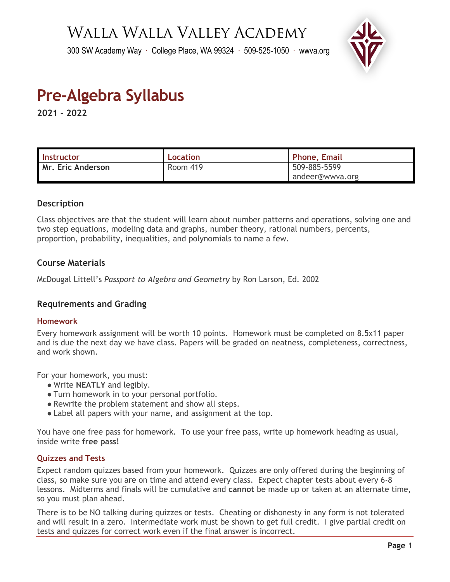# Walla Walla Valley Academy

300 SW Academy Way ∙ College Place, WA 99324 ∙ 509-525-1050 ∙ wwva.org



# **Pre-Algebra Syllabus**

**2021 - 2022**

| <b>Instructor</b> | Location | <b>Phone, Email</b> |  |
|-------------------|----------|---------------------|--|
| Mr. Eric Anderson | Room 419 | 509-885-5599        |  |
|                   |          | andeer@wwya.org     |  |

# **Description**

Class objectives are that the student will learn about number patterns and operations, solving one and two step equations, modeling data and graphs, number theory, rational numbers, percents, proportion, probability, inequalities, and polynomials to name a few.

# **Course Materials**

McDougal Littell's *Passport to Algebra and Geometry* by Ron Larson, Ed. 2002

# **Requirements and Grading**

#### **Homework**

Every homework assignment will be worth 10 points. Homework must be completed on 8.5x11 paper and is due the next day we have class. Papers will be graded on neatness, completeness, correctness, and work shown.

For your homework, you must:

- Write **NEATLY** and legibly.
- Turn homework in to your personal portfolio.
- Rewrite the problem statement and show all steps.
- Label all papers with your name, and assignment at the top.

You have one free pass for homework. To use your free pass, write up homework heading as usual, inside write **free pass!**

#### **Quizzes and Tests**

Expect random quizzes based from your homework. Quizzes are only offered during the beginning of class, so make sure you are on time and attend every class. Expect chapter tests about every 6-8 lessons. Midterms and finals will be cumulative and **cannot** be made up or taken at an alternate time, so you must plan ahead.

There is to be NO talking during quizzes or tests. Cheating or dishonesty in any form is not tolerated and will result in a zero. Intermediate work must be shown to get full credit. I give partial credit on tests and quizzes for correct work even if the final answer is incorrect.